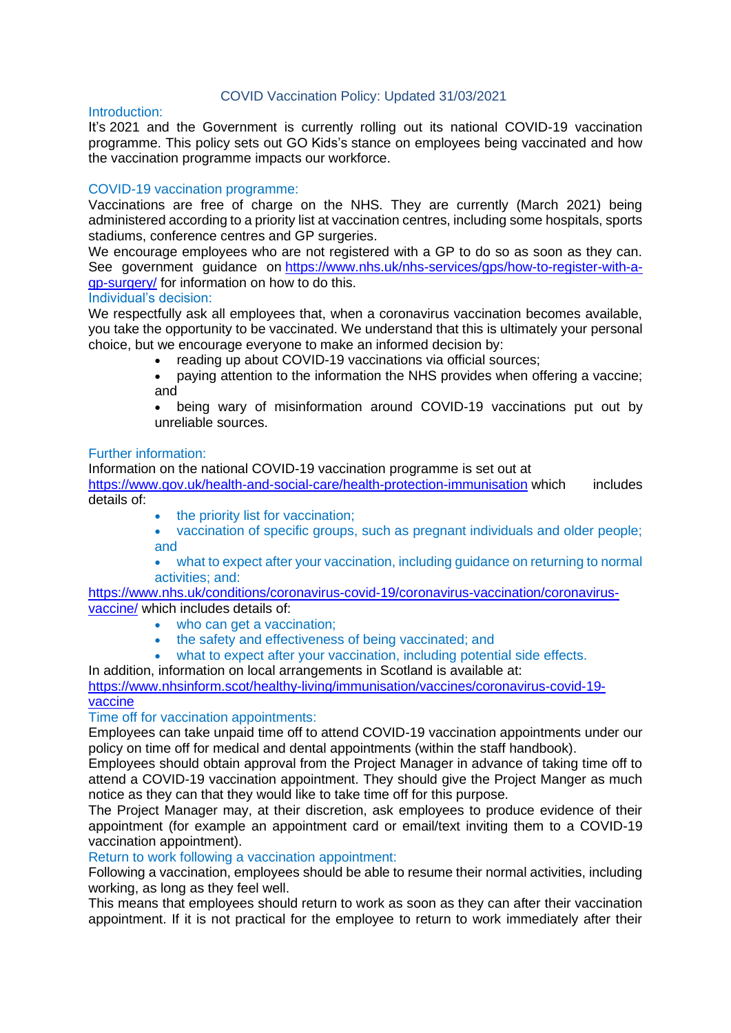### COVID Vaccination Policy: Updated 31/03/2021

### Introduction:

It's 2021 and the Government is currently rolling out its national COVID-19 vaccination programme. This policy sets out GO Kids's stance on employees being vaccinated and how the vaccination programme impacts our workforce.

## COVID-19 vaccination programme:

Vaccinations are free of charge on the NHS. They are currently (March 2021) being administered according to a priority list at vaccination centres, including some hospitals, sports stadiums, conference centres and GP surgeries.

We encourage employees who are not registered with a GP to do so as soon as they can. See government guidance on [https://www.nhs.uk/nhs-services/gps/how-to-register-with-a](https://www.nhs.uk/nhs-services/gps/how-to-register-with-a-gp-surgery/)[gp-surgery/](https://www.nhs.uk/nhs-services/gps/how-to-register-with-a-gp-surgery/) for information on how to do this.

#### Individual's decision:

We respectfully ask all employees that, when a coronavirus vaccination becomes available, you take the opportunity to be vaccinated. We understand that this is ultimately your personal choice, but we encourage everyone to make an informed decision by:

- reading up about COVID-19 vaccinations via official sources;
- paying attention to the information the NHS provides when offering a vaccine; and

• being wary of misinformation around COVID-19 vaccinations put out by unreliable sources.

# Further information:

Information on the national COVID-19 vaccination programme is set out at

<https://www.gov.uk/health-and-social-care/health-protection-immunisation> which includes details of:

- the priority list for vaccination:
- vaccination of specific groups, such as pregnant individuals and older people; and
- what to expect after your vaccination, including guidance on returning to normal activities; and:

[https://www.nhs.uk/conditions/coronavirus-covid-19/coronavirus-vaccination/coronavirus](https://www.nhs.uk/conditions/coronavirus-covid-19/coronavirus-vaccination/coronavirus-vaccine/)[vaccine/](https://www.nhs.uk/conditions/coronavirus-covid-19/coronavirus-vaccination/coronavirus-vaccine/) which includes details of:

- who can get a vaccination;
- the safety and effectiveness of being vaccinated; and
- what to expect after your vaccination, including potential side effects.

In addition, information on local arrangements in Scotland is available at:

[https://www.nhsinform.scot/healthy-living/immunisation/vaccines/coronavirus-covid-19](https://www.nhsinform.scot/healthy-living/immunisation/vaccines/coronavirus-covid-19-vaccine) [vaccine](https://www.nhsinform.scot/healthy-living/immunisation/vaccines/coronavirus-covid-19-vaccine)

# Time off for vaccination appointments:

Employees can take unpaid time off to attend COVID-19 vaccination appointments under our policy on time off for medical and dental appointments (within the staff handbook).

Employees should obtain approval from the Project Manager in advance of taking time off to attend a COVID-19 vaccination appointment. They should give the Project Manger as much notice as they can that they would like to take time off for this purpose.

The Project Manager may, at their discretion, ask employees to produce evidence of their appointment (for example an appointment card or email/text inviting them to a COVID-19 vaccination appointment).

#### Return to work following a vaccination appointment:

Following a vaccination, employees should be able to resume their normal activities, including working, as long as they feel well.

This means that employees should return to work as soon as they can after their vaccination appointment. If it is not practical for the employee to return to work immediately after their